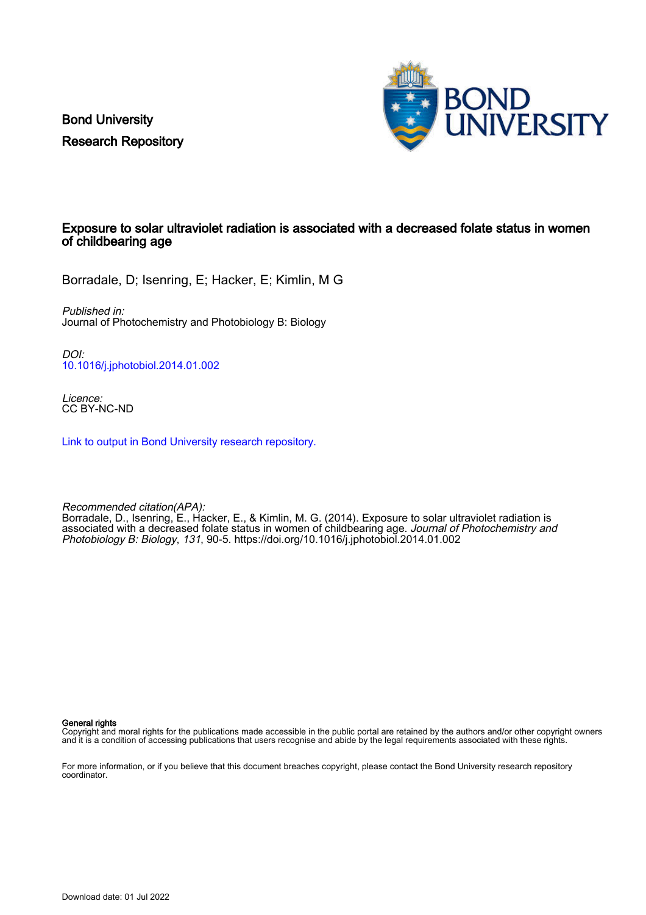Bond University Research Repository



## Exposure to solar ultraviolet radiation is associated with a decreased folate status in women of childbearing age

Borradale, D; Isenring, E; Hacker, E; Kimlin, M G

Published in: Journal of Photochemistry and Photobiology B: Biology

DOI: [10.1016/j.jphotobiol.2014.01.002](https://doi.org/10.1016/j.jphotobiol.2014.01.002)

Licence: CC BY-NC-ND

[Link to output in Bond University research repository.](https://research.bond.edu.au/en/publications/057889d8-cc8e-4aed-a6c8-63b700191ce3)

Recommended citation(APA): Borradale, D., Isenring, E., Hacker, E., & Kimlin, M. G. (2014). Exposure to solar ultraviolet radiation is associated with a decreased folate status in women of childbearing age. Journal of Photochemistry and Photobiology B: Biology, 131, 90-5. <https://doi.org/10.1016/j.jphotobiol.2014.01.002>

General rights

Copyright and moral rights for the publications made accessible in the public portal are retained by the authors and/or other copyright owners and it is a condition of accessing publications that users recognise and abide by the legal requirements associated with these rights.

For more information, or if you believe that this document breaches copyright, please contact the Bond University research repository coordinator.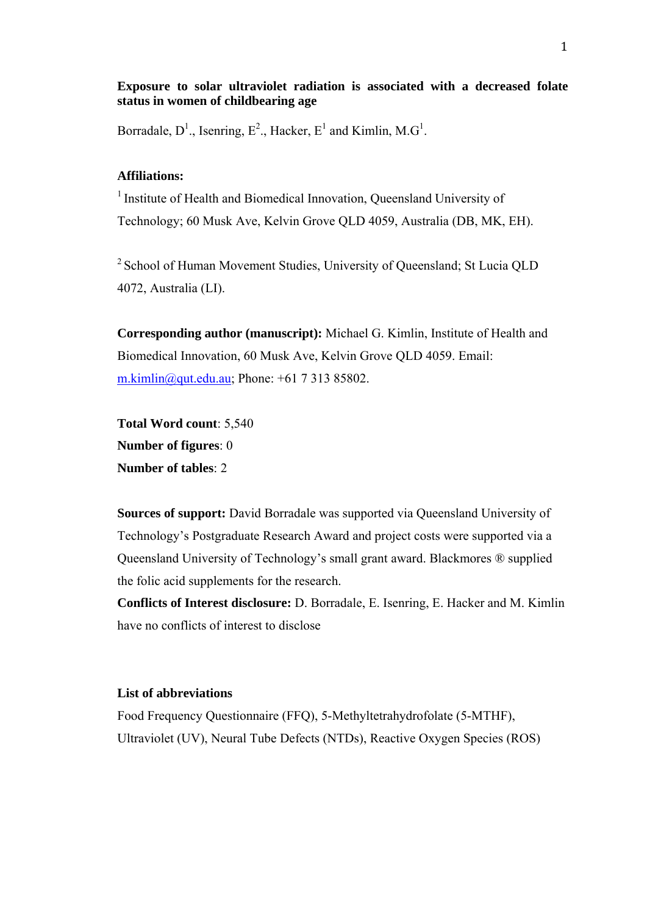**Exposure to solar ultraviolet radiation is associated with a decreased folate status in women of childbearing age**

Borradale,  $D^1$ ., Isenring,  $E^2$ ., Hacker,  $E^1$  and Kimlin, M.G<sup>1</sup>.

# **Affiliations:**

<sup>1</sup> Institute of Health and Biomedical Innovation, Queensland University of Technology; 60 Musk Ave, Kelvin Grove QLD 4059, Australia (DB, MK, EH).

2 School of Human Movement Studies, University of Queensland; St Lucia QLD 4072, Australia (LI).

**Corresponding author (manuscript):** Michael G. Kimlin, Institute of Health and Biomedical Innovation, 60 Musk Ave, Kelvin Grove QLD 4059. Email: m.kimlin@qut.edu.au; Phone: +61 7 313 85802.

**Total Word count**: 5,540 **Number of figures**: 0 **Number of tables**: 2

**Sources of support:** David Borradale was supported via Queensland University of Technology's Postgraduate Research Award and project costs were supported via a Queensland University of Technology's small grant award. Blackmores ® supplied the folic acid supplements for the research.

**Conflicts of Interest disclosure:** D. Borradale, E. Isenring, E. Hacker and M. Kimlin have no conflicts of interest to disclose

### **List of abbreviations**

Food Frequency Questionnaire (FFQ), 5-Methyltetrahydrofolate (5-MTHF), Ultraviolet (UV), Neural Tube Defects (NTDs), Reactive Oxygen Species (ROS)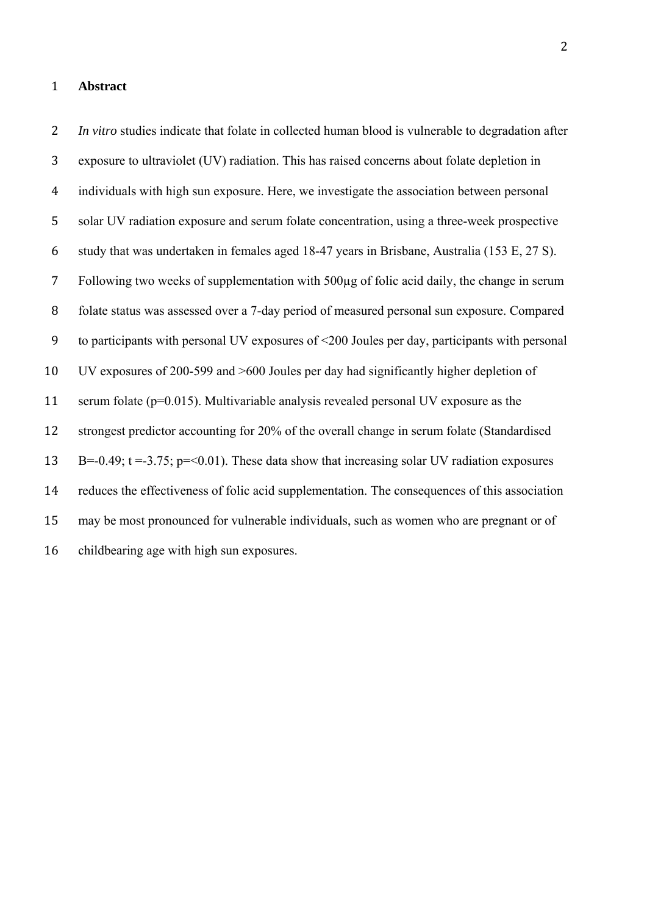## **Abstract**

*In vitro* studies indicate that folate in collected human blood is vulnerable to degradation after exposure to ultraviolet (UV) radiation. This has raised concerns about folate depletion in individuals with high sun exposure. Here, we investigate the association between personal solar UV radiation exposure and serum folate concentration, using a three-week prospective study that was undertaken in females aged 18-47 years in Brisbane, Australia (153 E, 27 S). Following two weeks of supplementation with 500µg of folic acid daily, the change in serum folate status was assessed over a 7-day period of measured personal sun exposure. Compared to participants with personal UV exposures of <200 Joules per day, participants with personal UV exposures of 200-599 and >600 Joules per day had significantly higher depletion of 11 serum folate (p=0.015). Multivariable analysis revealed personal UV exposure as the 12 strongest predictor accounting for 20% of the overall change in serum folate (Standardised 13 B=-0.49;  $t = -3.75$ ;  $p = 0.01$ ). These data show that increasing solar UV radiation exposures reduces the effectiveness of folic acid supplementation. The consequences of this association may be most pronounced for vulnerable individuals, such as women who are pregnant or of childbearing age with high sun exposures.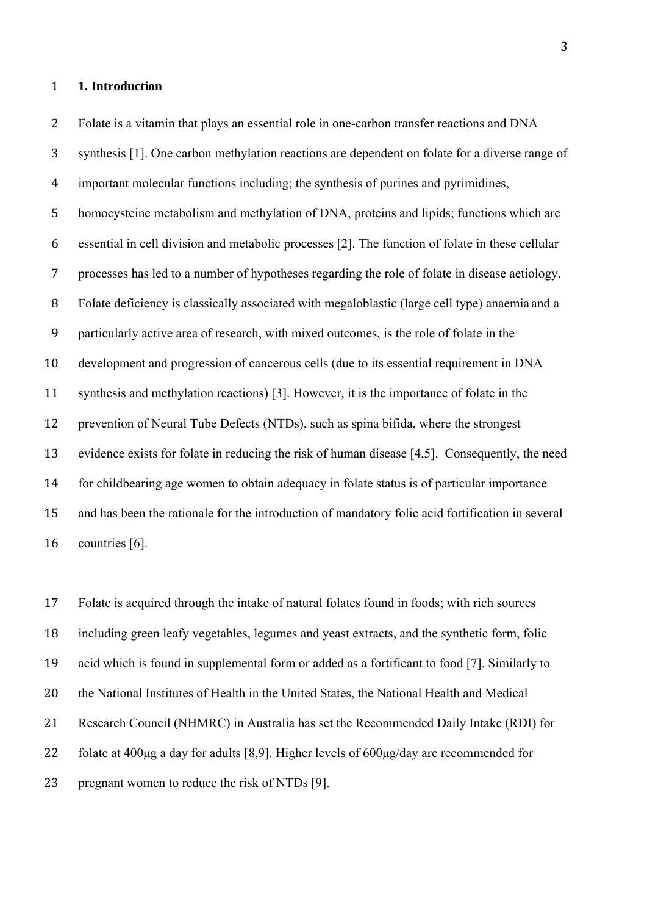#### **1. Introduction**

Folate is a vitamin that plays an essential role in one-carbon transfer reactions and DNA

synthesis [1]. One carbon methylation reactions are dependent on folate for a diverse range of

important molecular functions including; the synthesis of purines and pyrimidines,

 homocysteine metabolism and methylation of DNA, proteins and lipids; functions which are essential in cell division and metabolic processes [2]. The function of folate in these cellular processes has led to a number of hypotheses regarding the role of folate in disease aetiology. Folate deficiency is classically associated with megaloblastic (large cell type) anaemia and a particularly active area of research, with mixed outcomes, is the role of folate in the development and progression of cancerous cells (due to its essential requirement in DNA synthesis and methylation reactions) [3]. However, it is the importance of folate in the 12 prevention of Neural Tube Defects (NTDs), such as spina bifida, where the strongest evidence exists for folate in reducing the risk of human disease [4,5]. Consequently, the need for childbearing age women to obtain adequacy in folate status is of particular importance 15 and has been the rationale for the introduction of mandatory folic acid fortification in several countries [6].

 Folate is acquired through the intake of natural folates found in foods; with rich sources including green leafy vegetables, legumes and yeast extracts, and the synthetic form, folic acid which is found in supplemental form or added as a fortificant to food [7]. Similarly to the National Institutes of Health in the United States, the National Health and Medical Research Council (NHMRC) in Australia has set the Recommended Daily Intake (RDI) for folate at 400μg a day for adults [8,9]. Higher levels of 600μg/day are recommended for 23 pregnant women to reduce the risk of NTDs [9].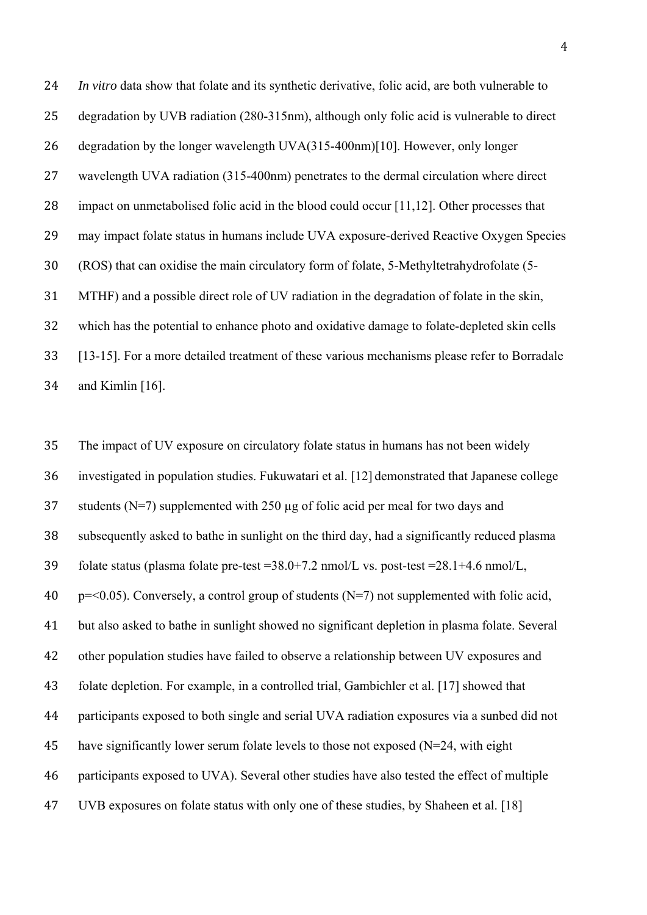*In vitro* data show that folate and its synthetic derivative, folic acid, are both vulnerable to 25 degradation by UVB radiation (280-315nm), although only folic acid is vulnerable to direct degradation by the longer wavelength UVA(315-400nm)[10]. However, only longer 27 wavelength UVA radiation (315-400nm) penetrates to the dermal circulation where direct 28 impact on unmetabolised folic acid in the blood could occur [11,12]. Other processes that 29 may impact folate status in humans include UVA exposure-derived Reactive Oxygen Species (ROS) that can oxidise the main circulatory form of folate, 5-Methyltetrahydrofolate (5- MTHF) and a possible direct role of UV radiation in the degradation of folate in the skin, which has the potential to enhance photo and oxidative damage to folate-depleted skin cells [13-15]. For a more detailed treatment of these various mechanisms please refer to Borradale and Kimlin [16].

35 The impact of UV exposure on circulatory folate status in humans has not been widely investigated in population studies. Fukuwatari et al. [12] demonstrated that Japanese college 37 students (N=7) supplemented with 250 ug of folic acid per meal for two days and subsequently asked to bathe in sunlight on the third day, had a significantly reduced plasma folate status (plasma folate pre-test =38.0+7.2 nmol/L vs. post-test =28.1+4.6 nmol/L,  $p = 0.05$ ). Conversely, a control group of students (N=7) not supplemented with folic acid, but also asked to bathe in sunlight showed no significant depletion in plasma folate. Several other population studies have failed to observe a relationship between UV exposures and folate depletion. For example, in a controlled trial, Gambichler et al. [17] showed that participants exposed to both single and serial UVA radiation exposures via a sunbed did not 45 have significantly lower serum folate levels to those not exposed  $(N=24$ , with eight participants exposed to UVA). Several other studies have also tested the effect of multiple UVB exposures on folate status with only one of these studies, by Shaheen et al. [18]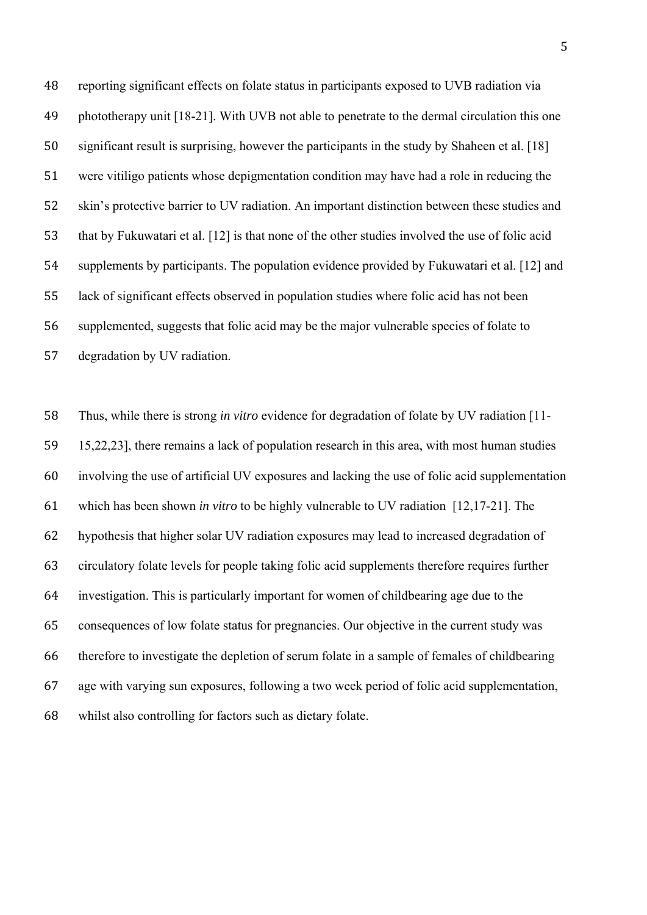reporting significant effects on folate status in participants exposed to UVB radiation via phototherapy unit [18-21]. With UVB not able to penetrate to the dermal circulation this one significant result is surprising, however the participants in the study by Shaheen et al. [18] were vitiligo patients whose depigmentation condition may have had a role in reducing the 52 skin's protective barrier to UV radiation. An important distinction between these studies and 53 that by Fukuwatari et al. [12] is that none of the other studies involved the use of folic acid supplements by participants. The population evidence provided by Fukuwatari et al. [12] and lack of significant effects observed in population studies where folic acid has not been supplemented, suggests that folic acid may be the major vulnerable species of folate to degradation by UV radiation.

 Thus, while there is strong *in vitro* evidence for degradation of folate by UV radiation [11- 15,22,23], there remains a lack of population research in this area, with most human studies involving the use of artificial UV exposures and lacking the use of folic acid supplementation which has been shown *in vitro* to be highly vulnerable to UV radiation [12,17-21]. The hypothesis that higher solar UV radiation exposures may lead to increased degradation of circulatory folate levels for people taking folic acid supplements therefore requires further investigation. This is particularly important for women of childbearing age due to the consequences of low folate status for pregnancies. Our objective in the current study was therefore to investigate the depletion of serum folate in a sample of females of childbearing age with varying sun exposures, following a two week period of folic acid supplementation, whilst also controlling for factors such as dietary folate.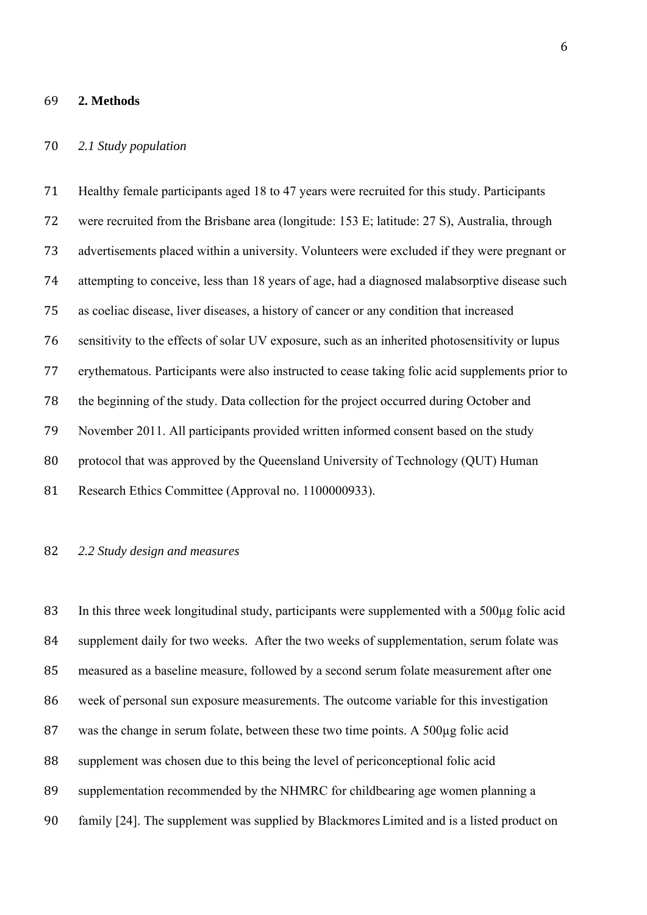#### **2. Methods**

## *2.1 Study population*

 Healthy female participants aged 18 to 47 years were recruited for this study. Participants 72 were recruited from the Brisbane area (longitude: 153 E; latitude: 27 S), Australia, through advertisements placed within a university. Volunteers were excluded if they were pregnant or attempting to conceive, less than 18 years of age, had a diagnosed malabsorptive disease such as coeliac disease, liver diseases, a history of cancer or any condition that increased sensitivity to the effects of solar UV exposure, such as an inherited photosensitivity or lupus erythematous. Participants were also instructed to cease taking folic acid supplements prior to the beginning of the study. Data collection for the project occurred during October and November 2011. All participants provided written informed consent based on the study 80 protocol that was approved by the Queensland University of Technology (QUT) Human 81 Research Ethics Committee (Approval no. 1100000933).

## *2.2 Study design and measures*

83 In this three week longitudinal study, participants were supplemented with a 500µg folic acid 84 supplement daily for two weeks. After the two weeks of supplementation, serum folate was 85 measured as a baseline measure, followed by a second serum folate measurement after one 86 week of personal sun exposure measurements. The outcome variable for this investigation 87 was the change in serum folate, between these two time points. A 500µg folic acid supplement was chosen due to this being the level of periconceptional folic acid supplementation recommended by the NHMRC for childbearing age women planning a family [24]. The supplement was supplied by Blackmores Limited and is a listed product on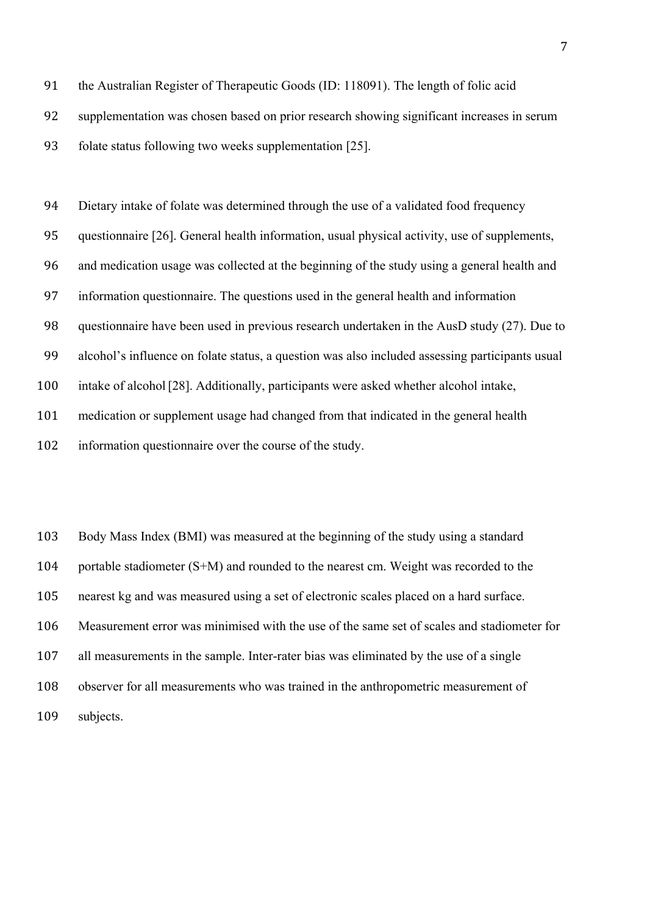91 the Australian Register of Therapeutic Goods (ID: 118091). The length of folic acid

92 supplementation was chosen based on prior research showing significant increases in serum

93 folate status following two weeks supplementation [25].

94 Dietary intake of folate was determined through the use of a validated food frequency questionnaire [26]. General health information, usual physical activity, use of supplements, and medication usage was collected at the beginning of the study using a general health and information questionnaire. The questions used in the general health and information questionnaire have been used in previous research undertaken in the AusD study (27). Due to alcohol's influence on folate status, a question was also included assessing participants usual intake of alcohol[28]. Additionally, participants were asked whether alcohol intake, medication or supplement usage had changed from that indicated in the general health 102 information questionnaire over the course of the study.

103 Body Mass Index (BMI) was measured at the beginning of the study using a standard 104 portable stadiometer (S+M) and rounded to the nearest cm. Weight was recorded to the 105 nearest kg and was measured using a set of electronic scales placed on a hard surface. 106 Measurement error was minimised with the use of the same set of scales and stadiometer for 107 all measurements in the sample. Inter-rater bias was eliminated by the use of a single 108 observer for all measurements who was trained in the anthropometric measurement of 109 subjects.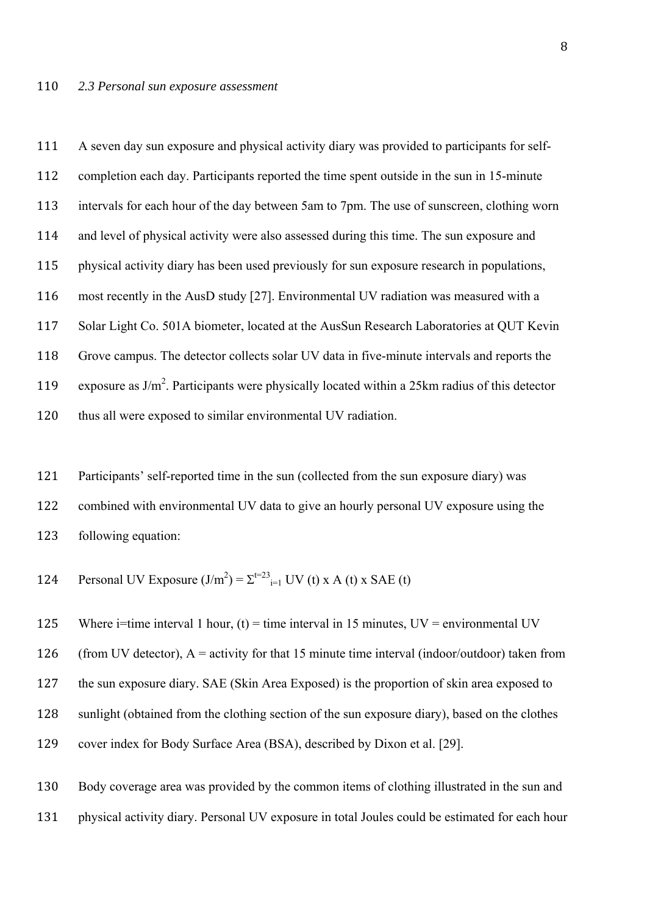111 A seven day sun exposure and physical activity diary was provided to participants for self-112 completion each day. Participants reported the time spent outside in the sun in 15-minute 113 intervals for each hour of the day between 5am to 7pm. The use of sunscreen, clothing worn 114 and level of physical activity were also assessed during this time. The sun exposure and 115 physical activity diary has been used previously for sun exposure research in populations, 116 most recently in the AusD study [27]. Environmental UV radiation was measured with a 117 Solar Light Co. 501A biometer, located at the AusSun Research Laboratories at QUT Kevin 118 Grove campus. The detector collects solar UV data in five-minute intervals and reports the 119 exposure as  $J/m<sup>2</sup>$ . Participants were physically located within a 25km radius of this detector 120 thus all were exposed to similar environmental UV radiation.

- 121 Participants' self-reported time in the sun (collected from the sun exposure diary) was 122 combined with environmental UV data to give an hourly personal UV exposure using the 123 following equation:
- 124 Personal UV Exposure  $(J/m^2) = \sum_{i=1}^{t=23}$  UV (t) x A (t) x SAE (t)

125 Where i=time interval 1 hour, (t) = time interval in 15 minutes,  $UV =$  environmental UV

126 (from UV detector),  $A =$  activity for that 15 minute time interval (indoor/outdoor) taken from

127 the sun exposure diary. SAE (Skin Area Exposed) is the proportion of skin area exposed to

128 sunlight (obtained from the clothing section of the sun exposure diary), based on the clothes

129 cover index for Body Surface Area (BSA), described by Dixon et al. [29].

130 Body coverage area was provided by the common items of clothing illustrated in the sun and 131 physical activity diary. Personal UV exposure in total Joules could be estimated for each hour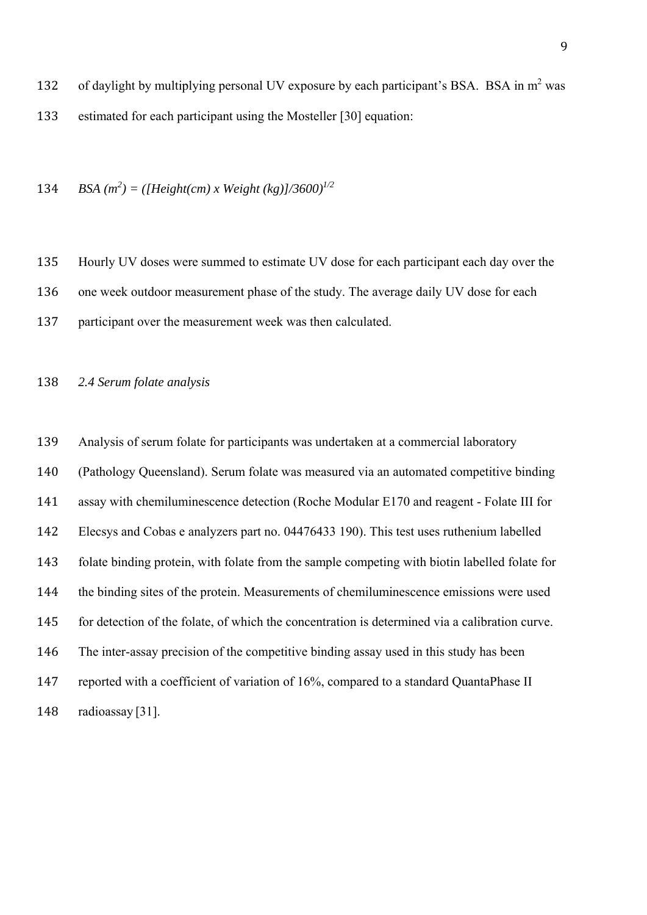134 *BSA*  $(m^2) = ([Height(cm) \times Weight (kg)]/3600)^{1/2}$ 

 Hourly UV doses were summed to estimate UV dose for each participant each day over the 136 one week outdoor measurement phase of the study. The average daily UV dose for each

137 participant over the measurement week was then calculated.

*2.4 Serum folate analysis* 

 Analysis of serum folate for participants was undertaken at a commercial laboratory (Pathology Queensland). Serum folate was measured via an automated competitive binding assay with chemiluminescence detection (Roche Modular E170 and reagent - Folate III for Elecsys and Cobas e analyzers part no. 04476433 190). This test uses ruthenium labelled folate binding protein, with folate from the sample competing with biotin labelled folate for the binding sites of the protein. Measurements of chemiluminescence emissions were used 145 for detection of the folate, of which the concentration is determined via a calibration curve. 146 The inter-assay precision of the competitive binding assay used in this study has been 147 reported with a coefficient of variation of 16%, compared to a standard QuantaPhase II radioassay [31].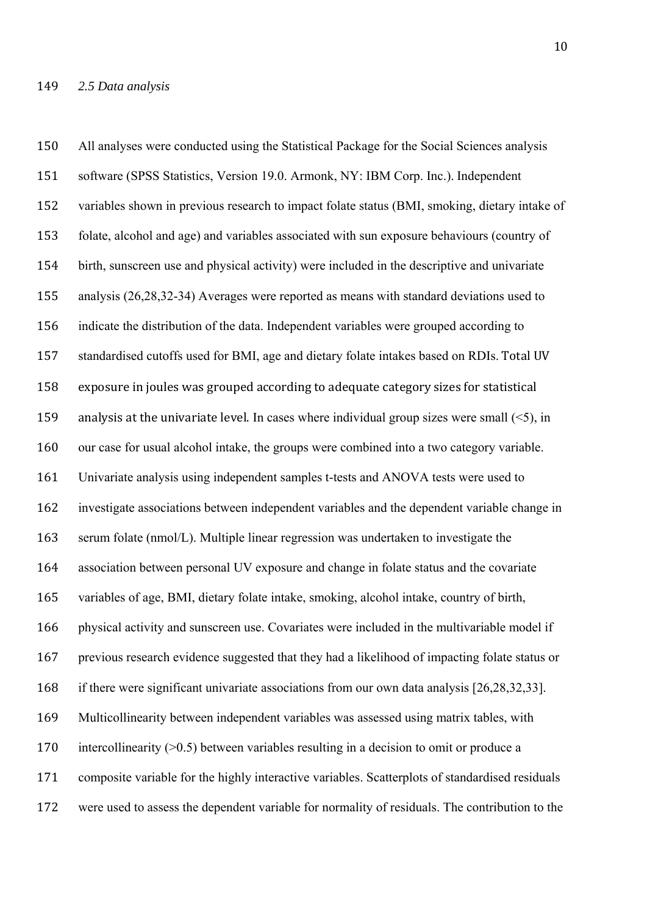150 All analyses were conducted using the Statistical Package for the Social Sciences analysis 151 software (SPSS Statistics, Version 19.0. Armonk, NY: IBM Corp. Inc.). Independent 152 variables shown in previous research to impact folate status (BMI, smoking, dietary intake of 153 folate, alcohol and age) and variables associated with sun exposure behaviours (country of 154 birth, sunscreen use and physical activity) were included in the descriptive and univariate 155 analysis (26,28,32-34) Averages were reported as means with standard deviations used to 156 indicate the distribution of the data. Independent variables were grouped according to 157 standardised cutoffs used for BMI, age and dietary folate intakes based on RDIs. Total UV 158 exposure in joules was grouped according to adequate category sizes for statistical 159 analysis at the univariate level. In cases where individual group sizes were small  $(\leq 5)$ , in 160 our case for usual alcohol intake, the groups were combined into a two category variable. 161 Univariate analysis using independent samples t-tests and ANOVA tests were used to 162 investigate associations between independent variables and the dependent variable change in 163 serum folate (nmol/L). Multiple linear regression was undertaken to investigate the 164 association between personal UV exposure and change in folate status and the covariate 165 variables of age, BMI, dietary folate intake, smoking, alcohol intake, country of birth, 166 physical activity and sunscreen use. Covariates were included in the multivariable model if 167 previous research evidence suggested that they had a likelihood of impacting folate status or 168 if there were significant univariate associations from our own data analysis [26,28,32,33]. 169 Multicollinearity between independent variables was assessed using matrix tables, with 170 intercollinearity ( $>0.5$ ) between variables resulting in a decision to omit or produce a 171 composite variable for the highly interactive variables. Scatterplots of standardised residuals 172 were used to assess the dependent variable for normality of residuals. The contribution to the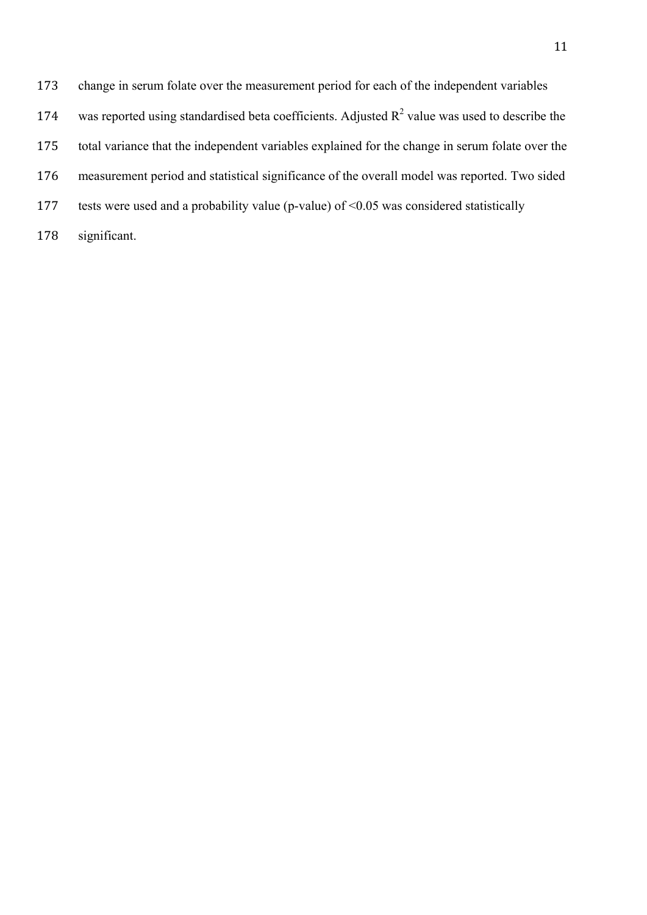- 173 change in serum folate over the measurement period for each of the independent variables
- 174 was reported using standardised beta coefficients. Adjusted  $R^2$  value was used to describe the
- 175 total variance that the independent variables explained for the change in serum folate over the
- 176 measurement period and statistical significance of the overall model was reported. Two sided
- 177 tests were used and a probability value (p-value) of <0.05 was considered statistically
- 178 significant.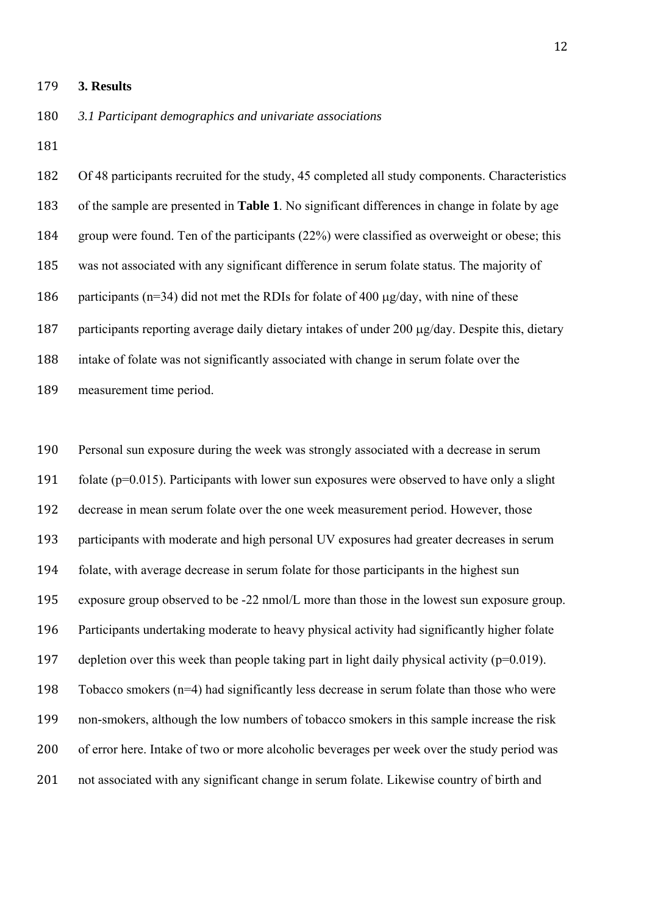#### 179 **3. Results**

180 *3.1 Participant demographics and univariate associations* 

181 

182 Of 48 participants recruited for the study, 45 completed all study components. Characteristics 183 of the sample are presented in **Table 1**. No significant differences in change in folate by age 184 group were found. Ten of the participants (22%) were classified as overweight or obese; this 185 was not associated with any significant difference in serum folate status. The majority of 186 participants ( $n=34$ ) did not met the RDIs for folate of 400  $\mu$ g/day, with nine of these 187 participants reporting average daily dietary intakes of under 200  $\mu$ g/day. Despite this, dietary 188 intake of folate was not significantly associated with change in serum folate over the 189 measurement time period.

190 Personal sun exposure during the week was strongly associated with a decrease in serum 191 folate ( $p=0.015$ ). Participants with lower sun exposures were observed to have only a slight 192 decrease in mean serum folate over the one week measurement period. However, those 193 participants with moderate and high personal UV exposures had greater decreases in serum 194 folate, with average decrease in serum folate for those participants in the highest sun 195 exposure group observed to be -22 nmol/L more than those in the lowest sun exposure group. 196 Participants undertaking moderate to heavy physical activity had significantly higher folate 197 depletion over this week than people taking part in light daily physical activity ( $p=0.019$ ). 198 Tobacco smokers (n=4) had significantly less decrease in serum folate than those who were 199 non-smokers, although the low numbers of tobacco smokers in this sample increase the risk 200 of error here. Intake of two or more alcoholic beverages per week over the study period was 201 not associated with any significant change in serum folate. Likewise country of birth and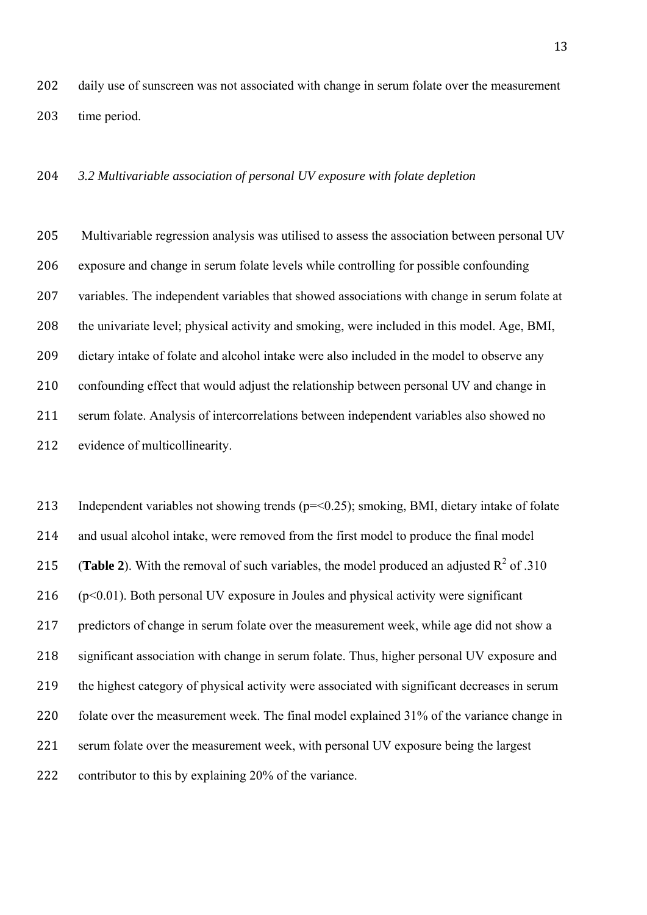202 daily use of sunscreen was not associated with change in serum folate over the measurement 203 time period.

## 204 *3.2 Multivariable association of personal UV exposure with folate depletion*

205 Multivariable regression analysis was utilised to assess the association between personal UV 206 exposure and change in serum folate levels while controlling for possible confounding 207 variables. The independent variables that showed associations with change in serum folate at 208 the univariate level; physical activity and smoking, were included in this model. Age, BMI, 209 dietary intake of folate and alcohol intake were also included in the model to observe any 210 confounding effect that would adjust the relationship between personal UV and change in 211 serum folate. Analysis of intercorrelations between independent variables also showed no 212 evidence of multicollinearity.

213 Independent variables not showing trends (p=<0.25); smoking, BMI, dietary intake of folate 214 and usual alcohol intake, were removed from the first model to produce the final model 215 (**Table 2**). With the removal of such variables, the model produced an adjusted  $R^2$  of .310  $216$  (p<0.01). Both personal UV exposure in Joules and physical activity were significant 217 predictors of change in serum folate over the measurement week, while age did not show a 218 significant association with change in serum folate. Thus, higher personal UV exposure and 219 the highest category of physical activity were associated with significant decreases in serum 220 folate over the measurement week. The final model explained 31% of the variance change in 221 serum folate over the measurement week, with personal UV exposure being the largest 222 contributor to this by explaining 20% of the variance.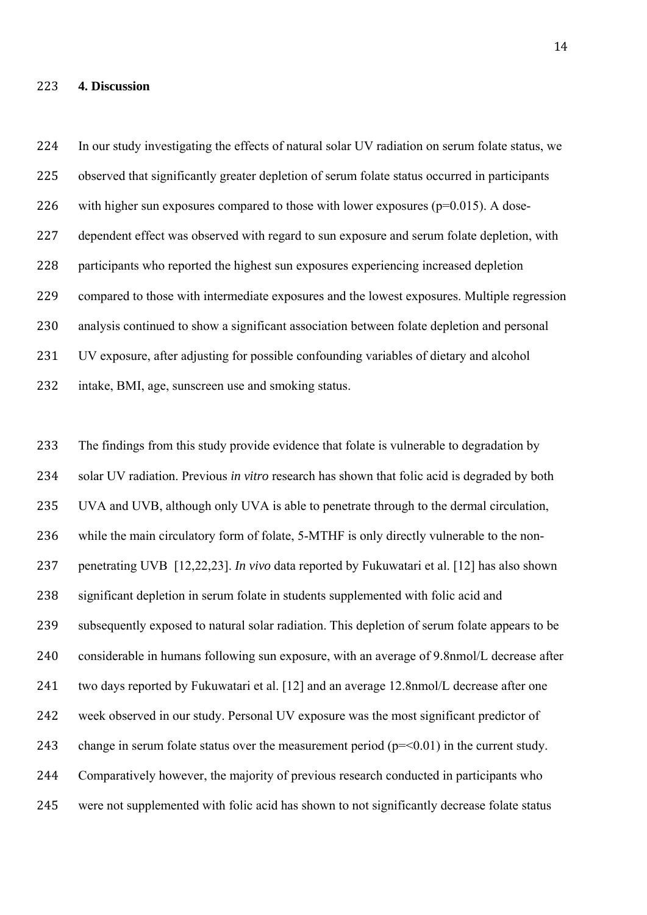#### 223 **4. Discussion**

14

224 In our study investigating the effects of natural solar UV radiation on serum folate status, we 225 observed that significantly greater depletion of serum folate status occurred in participants 226 with higher sun exposures compared to those with lower exposures ( $p=0.015$ ). A dose-227 dependent effect was observed with regard to sun exposure and serum folate depletion, with 228 participants who reported the highest sun exposures experiencing increased depletion 229 compared to those with intermediate exposures and the lowest exposures. Multiple regression 230 analysis continued to show a significant association between folate depletion and personal 231 UV exposure, after adjusting for possible confounding variables of dietary and alcohol 232 intake, BMI, age, sunscreen use and smoking status.

233 The findings from this study provide evidence that folate is vulnerable to degradation by 234 solar UV radiation. Previous *in vitro* research has shown that folic acid is degraded by both 235 UVA and UVB, although only UVA is able to penetrate through to the dermal circulation, 236 while the main circulatory form of folate, 5-MTHF is only directly vulnerable to the non-237 penetrating UVB [12,22,23]. *In vivo* data reported by Fukuwatari et al. [12] has also shown 238 significant depletion in serum folate in students supplemented with folic acid and 239 subsequently exposed to natural solar radiation. This depletion of serum folate appears to be 240 considerable in humans following sun exposure, with an average of 9.8nmol/L decrease after 241 two days reported by Fukuwatari et al. [12] and an average 12.8nmol/L decrease after one 242 week observed in our study. Personal UV exposure was the most significant predictor of 243 change in serum folate status over the measurement period ( $p = 0.01$ ) in the current study. 244 Comparatively however, the majority of previous research conducted in participants who 245 were not supplemented with folic acid has shown to not significantly decrease folate status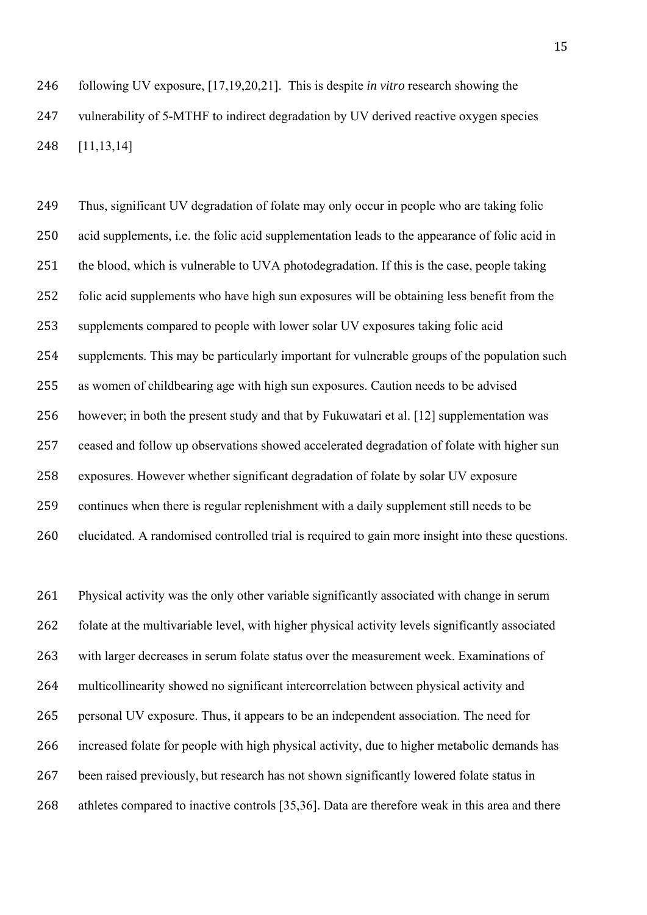246 following UV exposure, [17,19,20,21]. This is despite *in vitro* research showing the 247 vulnerability of 5-MTHF to indirect degradation by UV derived reactive oxygen species 248 [11,13,14]

249 Thus, significant UV degradation of folate may only occur in people who are taking folic 250 acid supplements, i.e. the folic acid supplementation leads to the appearance of folic acid in 251 the blood, which is vulnerable to UVA photodegradation. If this is the case, people taking 252 folic acid supplements who have high sun exposures will be obtaining less benefit from the 253 supplements compared to people with lower solar UV exposures taking folic acid 254 supplements. This may be particularly important for vulnerable groups of the population such 255 as women of childbearing age with high sun exposures. Caution needs to be advised 256 however; in both the present study and that by Fukuwatari et al. [12] supplementation was 257 ceased and follow up observations showed accelerated degradation of folate with higher sun 258 exposures. However whether significant degradation of folate by solar UV exposure 259 continues when there is regular replenishment with a daily supplement still needs to be 260 elucidated. A randomised controlled trial is required to gain more insight into these questions.

261 Physical activity was the only other variable significantly associated with change in serum 262 folate at the multivariable level, with higher physical activity levels significantly associated 263 with larger decreases in serum folate status over the measurement week. Examinations of 264 multicollinearity showed no significant intercorrelation between physical activity and 265 personal UV exposure. Thus, it appears to be an independent association. The need for 266 increased folate for people with high physical activity, due to higher metabolic demands has 267 been raised previously, but research has not shown significantly lowered folate status in 268 athletes compared to inactive controls [35,36]. Data are therefore weak in this area and there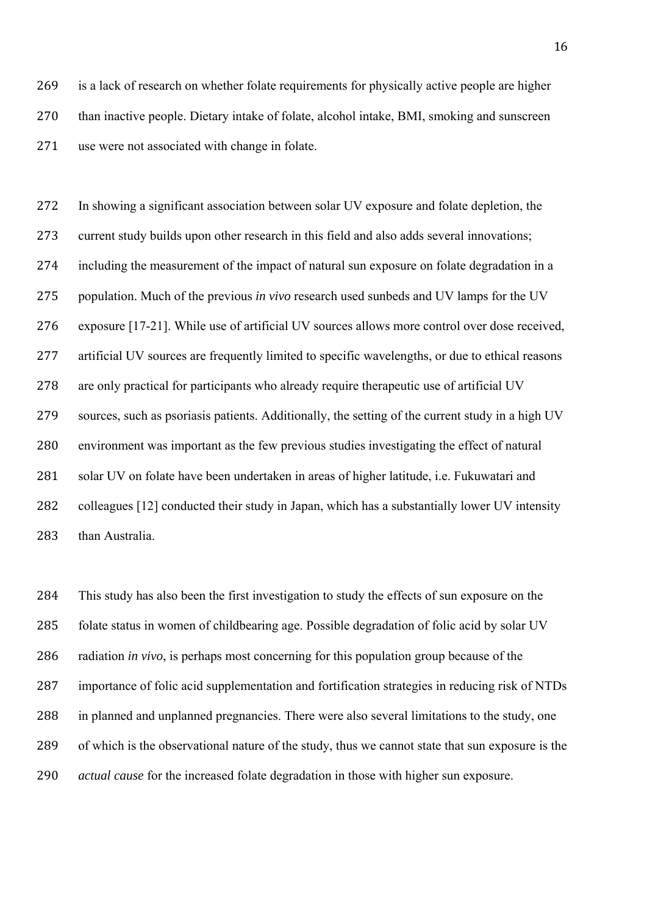269 is a lack of research on whether folate requirements for physically active people are higher 270 than inactive people. Dietary intake of folate, alcohol intake, BMI, smoking and sunscreen 271 use were not associated with change in folate.

272 In showing a significant association between solar UV exposure and folate depletion, the 273 current study builds upon other research in this field and also adds several innovations; 274 including the measurement of the impact of natural sun exposure on folate degradation in a 275 population. Much of the previous *in vivo* research used sunbeds and UV lamps for the UV 276 exposure [17-21]. While use of artificial UV sources allows more control over dose received, 277 artificial UV sources are frequently limited to specific wavelengths, or due to ethical reasons 278 are only practical for participants who already require therapeutic use of artificial UV 279 sources, such as psoriasis patients. Additionally, the setting of the current study in a high UV 280 environment was important as the few previous studies investigating the effect of natural 281 solar UV on folate have been undertaken in areas of higher latitude, i.e. Fukuwatari and 282 colleagues [12] conducted their study in Japan, which has a substantially lower UV intensity 283 than Australia.

 This study has also been the first investigation to study the effects of sun exposure on the 285 folate status in women of childbearing age. Possible degradation of folic acid by solar UV radiation *in vivo*, is perhaps most concerning for this population group because of the 287 importance of folic acid supplementation and fortification strategies in reducing risk of NTDs in planned and unplanned pregnancies. There were also several limitations to the study, one of which is the observational nature of the study, thus we cannot state that sun exposure is the *actual cause* for the increased folate degradation in those with higher sun exposure.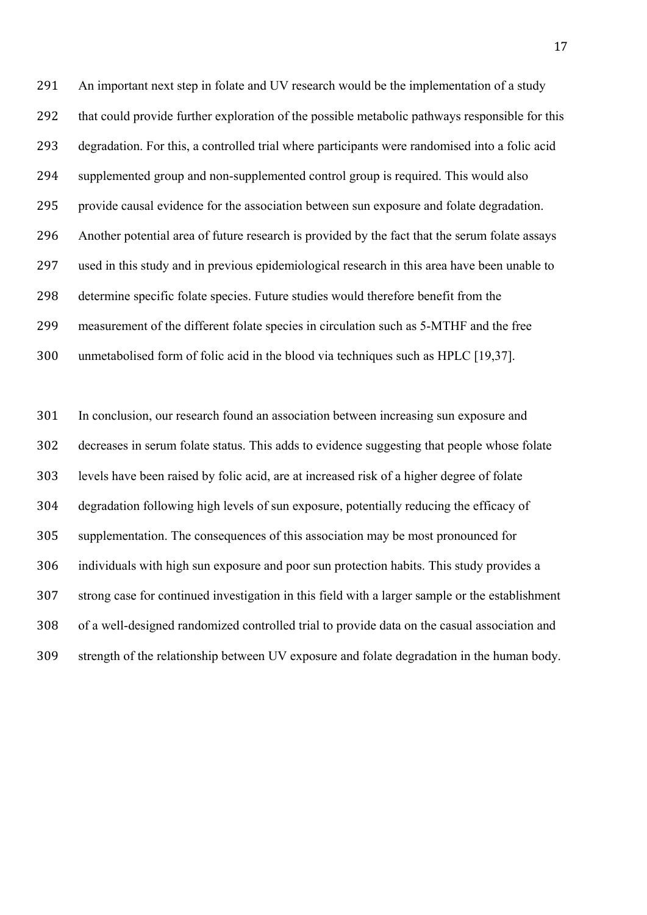291 An important next step in folate and UV research would be the implementation of a study 292 that could provide further exploration of the possible metabolic pathways responsible for this degradation. For this, a controlled trial where participants were randomised into a folic acid supplemented group and non-supplemented control group is required. This would also provide causal evidence for the association between sun exposure and folate degradation. Another potential area of future research is provided by the fact that the serum folate assays used in this study and in previous epidemiological research in this area have been unable to determine specific folate species. Future studies would therefore benefit from the measurement of the different folate species in circulation such as 5-MTHF and the free 300 unmetabolised form of folic acid in the blood via techniques such as HPLC [19,37].

301 In conclusion, our research found an association between increasing sun exposure and decreases in serum folate status. This adds to evidence suggesting that people whose folate levels have been raised by folic acid, are at increased risk of a higher degree of folate degradation following high levels of sun exposure, potentially reducing the efficacy of supplementation. The consequences of this association may be most pronounced for individuals with high sun exposure and poor sun protection habits. This study provides a strong case for continued investigation in this field with a larger sample or the establishment of a well-designed randomized controlled trial to provide data on the casual association and strength of the relationship between UV exposure and folate degradation in the human body.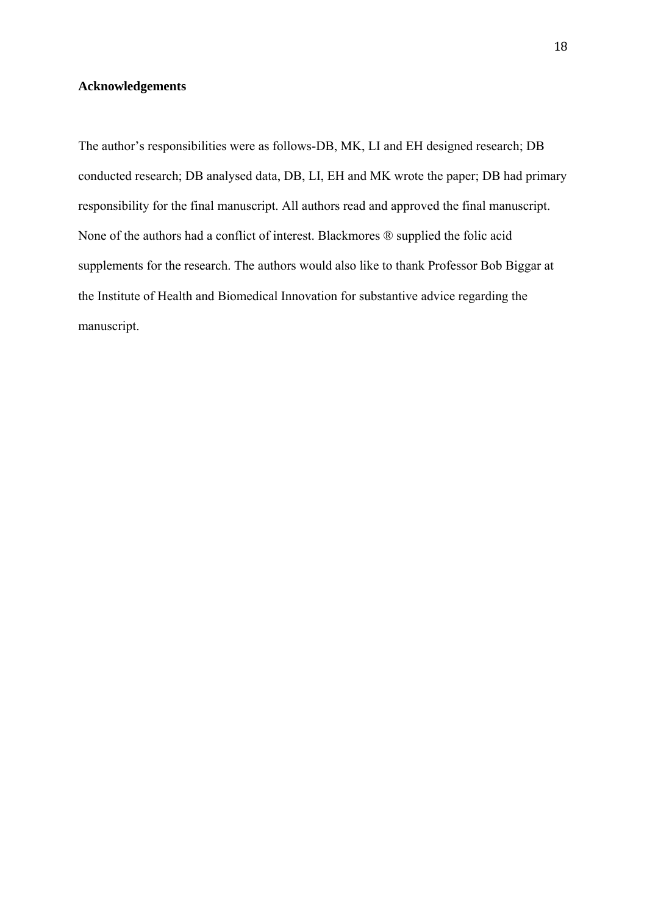# **Acknowledgements**

The author's responsibilities were as follows-DB, MK, LI and EH designed research; DB conducted research; DB analysed data, DB, LI, EH and MK wrote the paper; DB had primary responsibility for the final manuscript. All authors read and approved the final manuscript. None of the authors had a conflict of interest. Blackmores ® supplied the folic acid supplements for the research. The authors would also like to thank Professor Bob Biggar at the Institute of Health and Biomedical Innovation for substantive advice regarding the manuscript.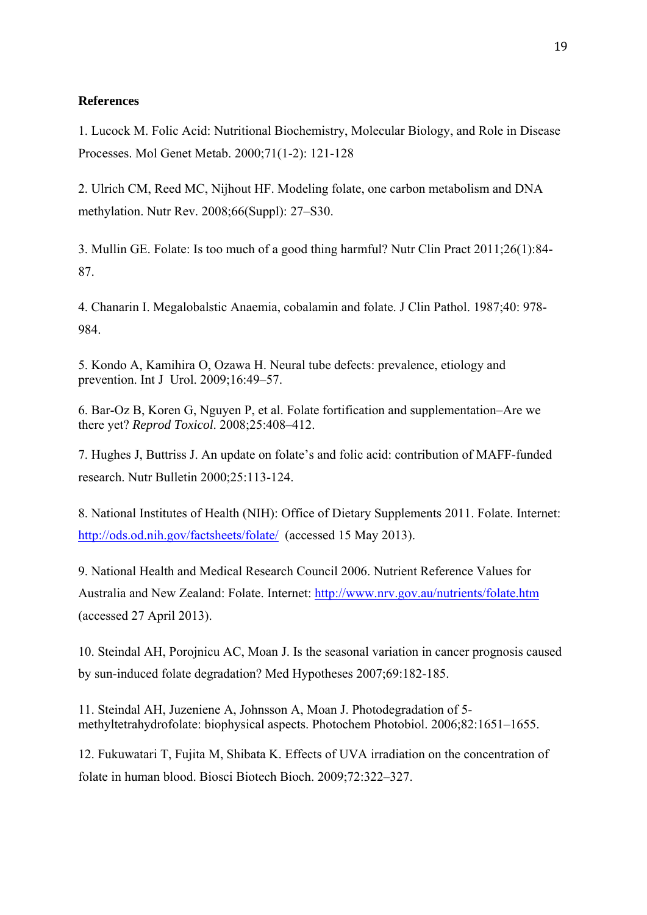# **References**

1. Lucock M. Folic Acid: Nutritional Biochemistry, Molecular Biology, and Role in Disease Processes. Mol Genet Metab. 2000;71(1-2): 121-128

2. Ulrich CM, Reed MC, Nijhout HF. Modeling folate, one carbon metabolism and DNA methylation. Nutr Rev. 2008;66(Suppl): 27–S30.

3. Mullin GE. Folate: Is too much of a good thing harmful? Nutr Clin Pract 2011;26(1):84- 87.

4. Chanarin I. Megalobalstic Anaemia, cobalamin and folate. J Clin Pathol. 1987;40: 978- 984.

5. Kondo A, Kamihira O, Ozawa H. Neural tube defects: prevalence, etiology and prevention. Int J Urol. 2009;16:49–57.

6. Bar-Oz B, Koren G, Nguyen P, et al. Folate fortification and supplementation–Are we there yet? *Reprod Toxicol*. 2008;25:408–412.

7. Hughes J, Buttriss J. An update on folate's and folic acid: contribution of MAFF-funded research. Nutr Bulletin 2000;25:113-124.

8. National Institutes of Health (NIH): Office of Dietary Supplements 2011. Folate. Internet: http://ods.od.nih.gov/factsheets/folate/ (accessed 15 May 2013).

9. National Health and Medical Research Council 2006. Nutrient Reference Values for Australia and New Zealand: Folate. Internet: http://www.nrv.gov.au/nutrients/folate.htm (accessed 27 April 2013).

10. Steindal AH, Porojnicu AC, Moan J. Is the seasonal variation in cancer prognosis caused by sun-induced folate degradation? Med Hypotheses 2007;69:182-185.

11. Steindal AH, Juzeniene A, Johnsson A, Moan J. Photodegradation of 5 methyltetrahydrofolate: biophysical aspects. Photochem Photobiol. 2006;82:1651–1655.

12. Fukuwatari T, Fujita M, Shibata K. Effects of UVA irradiation on the concentration of folate in human blood. Biosci Biotech Bioch. 2009;72:322–327.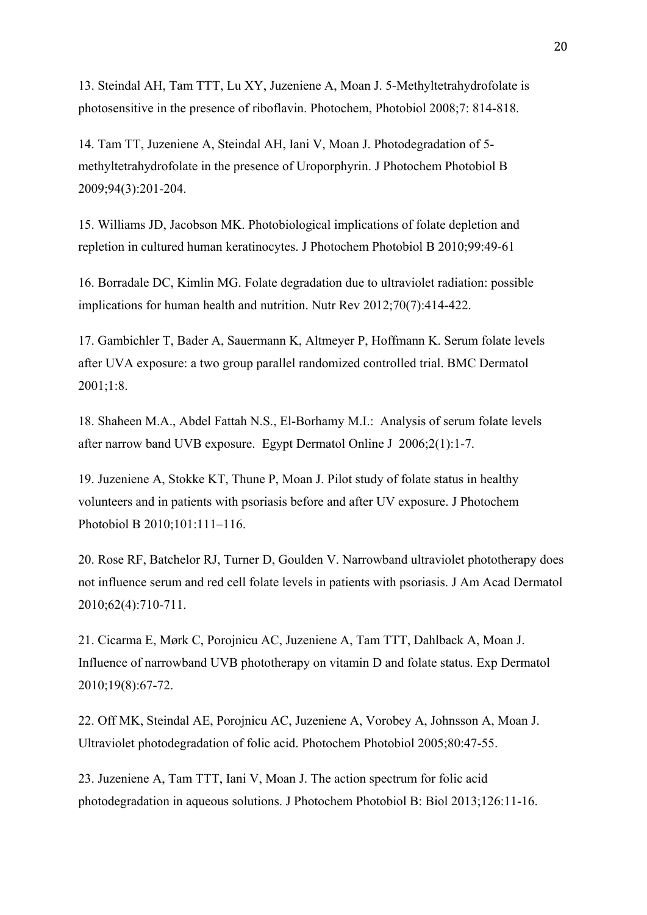13. Steindal AH, Tam TTT, Lu XY, Juzeniene A, Moan J. 5-Methyltetrahydrofolate is photosensitive in the presence of riboflavin. Photochem, Photobiol 2008;7: 814-818.

14. Tam TT, Juzeniene A, Steindal AH, Iani V, Moan J. Photodegradation of 5 methyltetrahydrofolate in the presence of Uroporphyrin. J Photochem Photobiol B 2009;94(3):201-204.

15. Williams JD, Jacobson MK. Photobiological implications of folate depletion and repletion in cultured human keratinocytes. J Photochem Photobiol B 2010;99:49-61

16. Borradale DC, Kimlin MG. Folate degradation due to ultraviolet radiation: possible implications for human health and nutrition. Nutr Rev 2012;70(7):414-422.

17. Gambichler T, Bader A, Sauermann K, Altmeyer P, Hoffmann K. Serum folate levels after UVA exposure: a two group parallel randomized controlled trial. BMC Dermatol 2001;1:8.

18. Shaheen M.A., Abdel Fattah N.S., El-Borhamy M.I.: Analysis of serum folate levels after narrow band UVB exposure. Egypt Dermatol Online J 2006;2(1):1-7.

19. Juzeniene A, Stokke KT, Thune P, Moan J. Pilot study of folate status in healthy volunteers and in patients with psoriasis before and after UV exposure. J Photochem Photobiol B 2010;101:111–116.

20. Rose RF, Batchelor RJ, Turner D, Goulden V. Narrowband ultraviolet phototherapy does not influence serum and red cell folate levels in patients with psoriasis. J Am Acad Dermatol 2010;62(4):710-711.

21. Cicarma E, Mørk C, Porojnicu AC, Juzeniene A, Tam TTT, Dahlback A, Moan J. Influence of narrowband UVB phototherapy on vitamin D and folate status. Exp Dermatol 2010;19(8):67-72.

22. Off MK, Steindal AE, Porojnicu AC, Juzeniene A, Vorobey A, Johnsson A, Moan J. Ultraviolet photodegradation of folic acid. Photochem Photobiol 2005;80:47-55.

23. Juzeniene A, Tam TTT, Iani V, Moan J. The action spectrum for folic acid photodegradation in aqueous solutions. J Photochem Photobiol B: Biol 2013;126:11-16.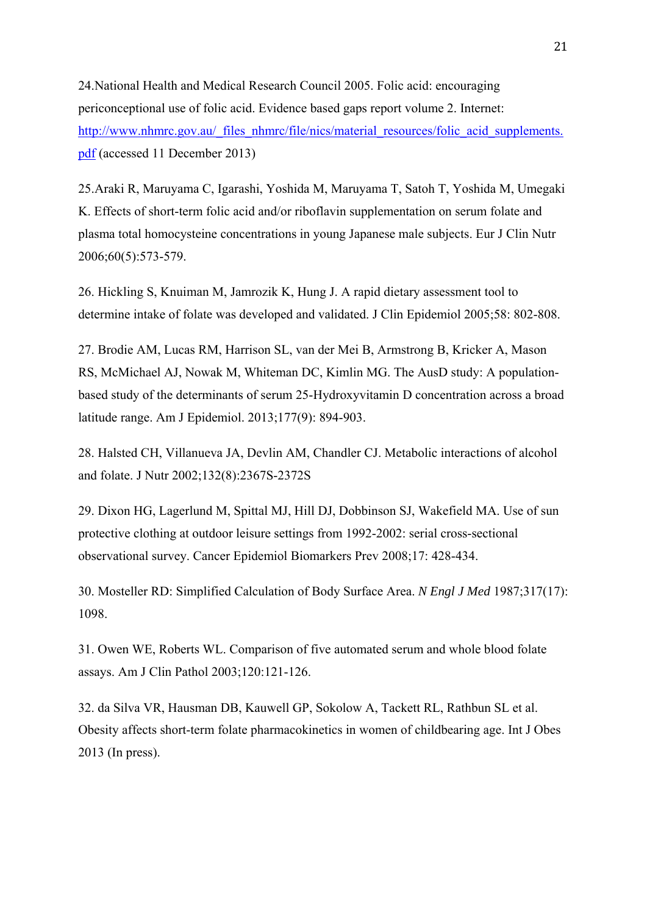24.National Health and Medical Research Council 2005. Folic acid: encouraging periconceptional use of folic acid. Evidence based gaps report volume 2. Internet: http://www.nhmrc.gov.au/\_files\_nhmrc/file/nics/material\_resources/folic\_acid\_supplements. pdf (accessed 11 December 2013)

25.Araki R, Maruyama C, Igarashi, Yoshida M, Maruyama T, Satoh T, Yoshida M, Umegaki K. Effects of short-term folic acid and/or riboflavin supplementation on serum folate and plasma total homocysteine concentrations in young Japanese male subjects. Eur J Clin Nutr 2006;60(5):573-579.

26. Hickling S, Knuiman M, Jamrozik K, Hung J. A rapid dietary assessment tool to determine intake of folate was developed and validated. J Clin Epidemiol 2005;58: 802-808.

27. Brodie AM, Lucas RM, Harrison SL, van der Mei B, Armstrong B, Kricker A, Mason RS, McMichael AJ, Nowak M, Whiteman DC, Kimlin MG. The AusD study: A populationbased study of the determinants of serum 25-Hydroxyvitamin D concentration across a broad latitude range. Am J Epidemiol. 2013;177(9): 894-903.

28. Halsted CH, Villanueva JA, Devlin AM, Chandler CJ. Metabolic interactions of alcohol and folate. J Nutr 2002;132(8):2367S-2372S

29. Dixon HG, Lagerlund M, Spittal MJ, Hill DJ, Dobbinson SJ, Wakefield MA. Use of sun protective clothing at outdoor leisure settings from 1992-2002: serial cross-sectional observational survey. Cancer Epidemiol Biomarkers Prev 2008;17: 428-434.

30. Mosteller RD: Simplified Calculation of Body Surface Area. *N Engl J Med* 1987;317(17): 1098.

31. Owen WE, Roberts WL. Comparison of five automated serum and whole blood folate assays. Am J Clin Pathol 2003;120:121-126.

32. da Silva VR, Hausman DB, Kauwell GP, Sokolow A, Tackett RL, Rathbun SL et al. Obesity affects short-term folate pharmacokinetics in women of childbearing age. Int J Obes 2013 (In press).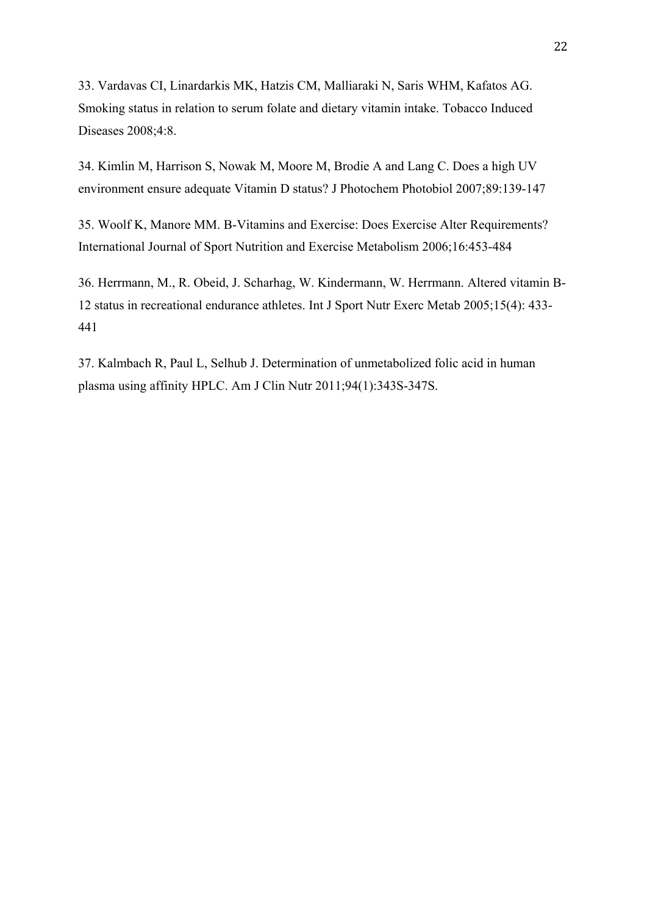33. Vardavas CI, Linardarkis MK, Hatzis CM, Malliaraki N, Saris WHM, Kafatos AG. Smoking status in relation to serum folate and dietary vitamin intake. Tobacco Induced Diseases 2008;4:8.

34. Kimlin M, Harrison S, Nowak M, Moore M, Brodie A and Lang C. Does a high UV environment ensure adequate Vitamin D status? J Photochem Photobiol 2007;89:139-147

35. Woolf K, Manore MM. B-Vitamins and Exercise: Does Exercise Alter Requirements? International Journal of Sport Nutrition and Exercise Metabolism 2006;16:453-484

36. Herrmann, M., R. Obeid, J. Scharhag, W. Kindermann, W. Herrmann. Altered vitamin B-12 status in recreational endurance athletes. Int J Sport Nutr Exerc Metab 2005;15(4): 433- 441

37. Kalmbach R, Paul L, Selhub J. Determination of unmetabolized folic acid in human plasma using affinity HPLC. Am J Clin Nutr 2011;94(1):343S-347S.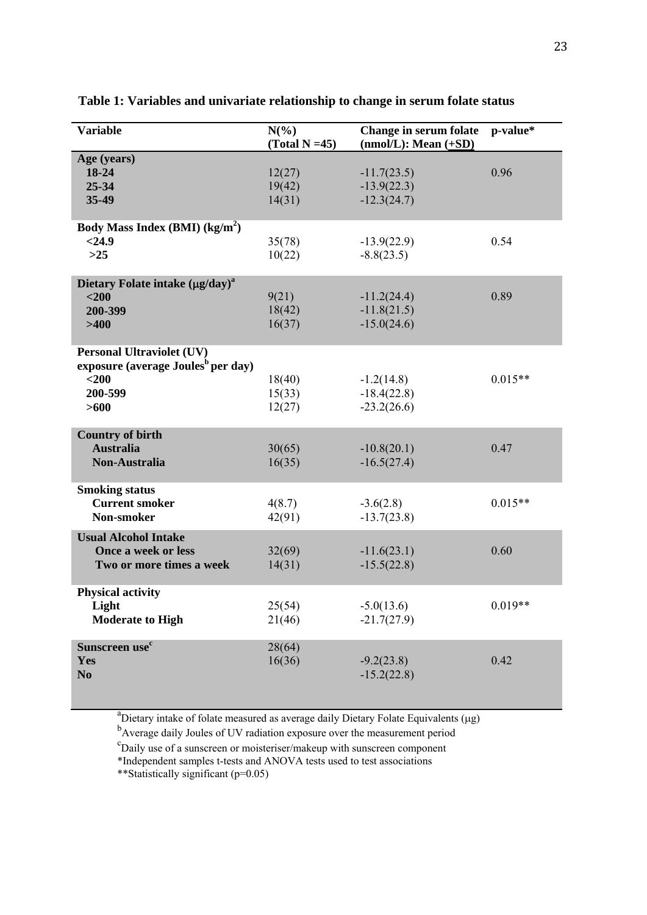| <b>Variable</b>                                                                                                  | $N(\%)$<br>$(Total N = 45)$ | Change in serum folate<br>$(mmol/L): Mean (+SD)$ | p-value*  |
|------------------------------------------------------------------------------------------------------------------|-----------------------------|--------------------------------------------------|-----------|
| Age (years)<br>18-24<br>$25 - 34$<br>35-49                                                                       | 12(27)<br>19(42)<br>14(31)  | $-11.7(23.5)$<br>$-13.9(22.3)$<br>$-12.3(24.7)$  | 0.96      |
| Body Mass Index (BMI) $(kg/m2)$<br>< 24.9<br>$>25$                                                               | 35(78)<br>10(22)            | $-13.9(22.9)$<br>$-8.8(23.5)$                    | 0.54      |
| Dietary Folate intake $(\mu g / day)^a$<br>$<$ 200<br>200-399<br>>400                                            | 9(21)<br>18(42)<br>16(37)   | $-11.2(24.4)$<br>$-11.8(21.5)$<br>$-15.0(24.6)$  | 0.89      |
| <b>Personal Ultraviolet (UV)</b><br>exposure (average Joules <sup>b</sup> per day)<br>$<$ 200<br>200-599<br>>600 | 18(40)<br>15(33)<br>12(27)  | $-1.2(14.8)$<br>$-18.4(22.8)$<br>$-23.2(26.6)$   | $0.015**$ |
| <b>Country of birth</b><br><b>Australia</b><br><b>Non-Australia</b>                                              | 30(65)<br>16(35)            | $-10.8(20.1)$<br>$-16.5(27.4)$                   | 0.47      |
| <b>Smoking status</b><br><b>Current smoker</b><br>Non-smoker                                                     | 4(8.7)<br>42(91)            | $-3.6(2.8)$<br>$-13.7(23.8)$                     | $0.015**$ |
| <b>Usual Alcohol Intake</b><br>Once a week or less<br>Two or more times a week                                   | 32(69)<br>14(31)            | $-11.6(23.1)$<br>$-15.5(22.8)$                   | 0.60      |
| <b>Physical activity</b><br>Light<br><b>Moderate to High</b>                                                     | 25(54)<br>21(46)            | $-5.0(13.6)$<br>$-21.7(27.9)$                    | $0.019**$ |
| Sunscreen use <sup>c</sup><br>Yes<br>N <sub>0</sub>                                                              | 28(64)<br>16(36)            | $-9.2(23.8)$<br>$-15.2(22.8)$                    | 0.42      |

**Table 1: Variables and univariate relationship to change in serum folate status** 

<sup>a</sup>Dietary intake of folate measured as average daily Dietary Folate Equivalents ( $\mu$ g)

b Average daily Joules of UV radiation exposure over the measurement period

<sup>C</sup>Daily use of a sunscreen or moisteriser/makeup with sunscreen component

\*Independent samples t-tests and ANOVA tests used to test associations

\*\*Statistically significant (p=0.05)